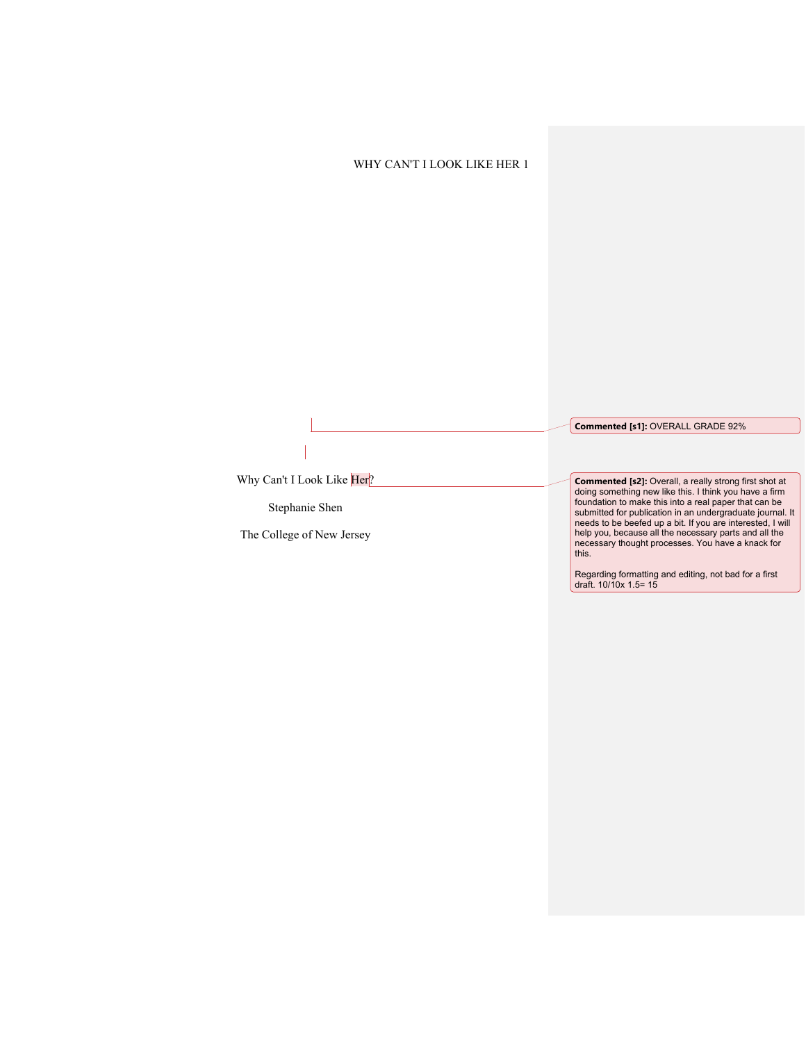**Commented [s1]:** OVERALL GRADE 92%

Why Can't I Look Like Her?

Stephanie Shen

The College of New Jersey

**Commented [s2]:** Overall, a really strong first shot at doing something new like this. I think you have a firm foundation to make this into a real paper that can be submitted for publication in an undergraduate journal. It needs to be beefed up a bit. If you are interested, I will help you, because all the necessary parts and all the necessary thought processes. You have a knack for this.

Regarding formatting and editing, not bad for a first draft. 10/10x 1.5= 15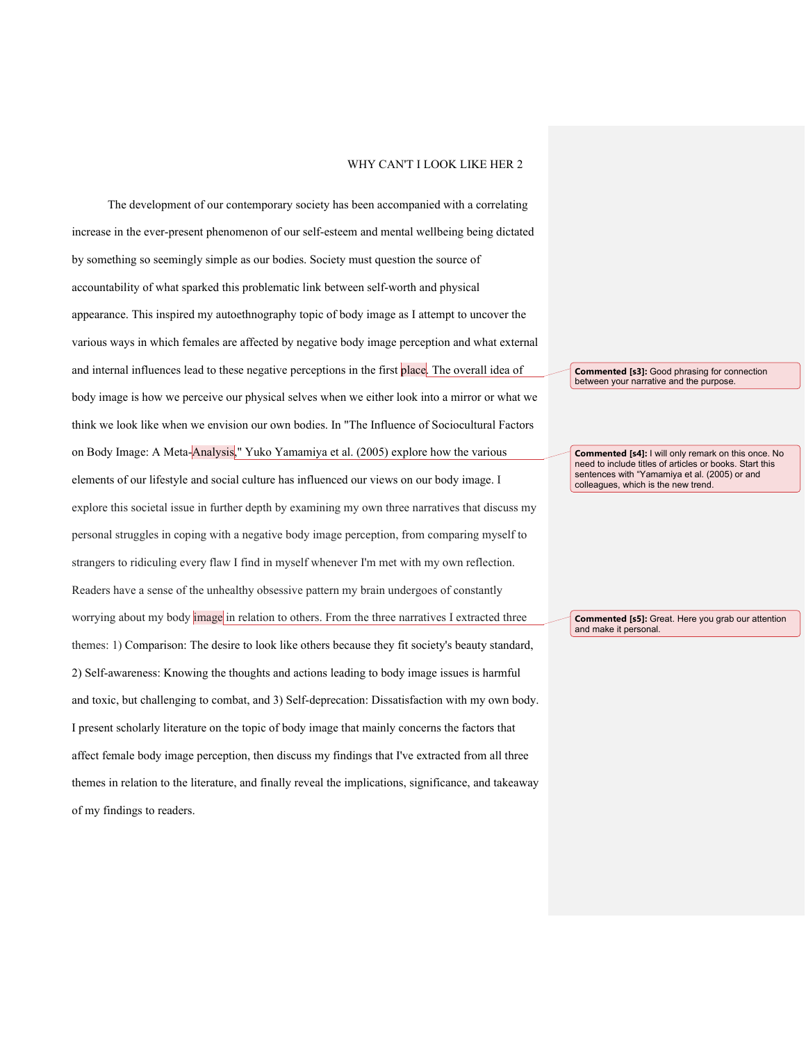The development of our contemporary society has been accompanied with a correlating increase in the ever-present phenomenon of our self-esteem and mental wellbeing being dictated by something so seemingly simple as our bodies. Society must question the source of accountability of what sparked this problematic link between self-worth and physical appearance. This inspired my autoethnography topic of body image as I attempt to uncover the various ways in which females are affected by negative body image perception and what external and internal influences lead to these negative perceptions in the first place. The overall idea of body image is how we perceive our physical selves when we either look into a mirror or what we think we look like when we envision our own bodies. In "The Influence of Sociocultural Factors on Body Image: A Meta-Analysis," Yuko Yamamiya et al. (2005) explore how the various elements of our lifestyle and social culture has influenced our views on our body image. I explore this societal issue in further depth by examining my own three narratives that discuss my personal struggles in coping with a negative body image perception, from comparing myself to strangers to ridiculing every flaw I find in myself whenever I'm met with my own reflection. Readers have a sense of the unhealthy obsessive pattern my brain undergoes of constantly worrying about my body image in relation to others. From the three narratives I extracted three themes: 1) Comparison: The desire to look like others because they fit society's beauty standard, 2) Self-awareness: Knowing the thoughts and actions leading to body image issues is harmful and toxic, but challenging to combat, and 3) Self-deprecation: Dissatisfaction with my own body. I present scholarly literature on the topic of body image that mainly concerns the factors that affect female body image perception, then discuss my findings that I've extracted from all three themes in relation to the literature, and finally reveal the implications, significance, and takeaway of my findings to readers.

**Commented [s3]:** Good phrasing for connection between your narrative and the purpose.

**Commented [s4]:** I will only remark on this once. No need to include titles of articles or books. Start this sentences with "Yamamiya et al. (2005) or and colleagues, which is the new trend.

**Commented [s5]:** Great. Here you grab our attention and make it personal.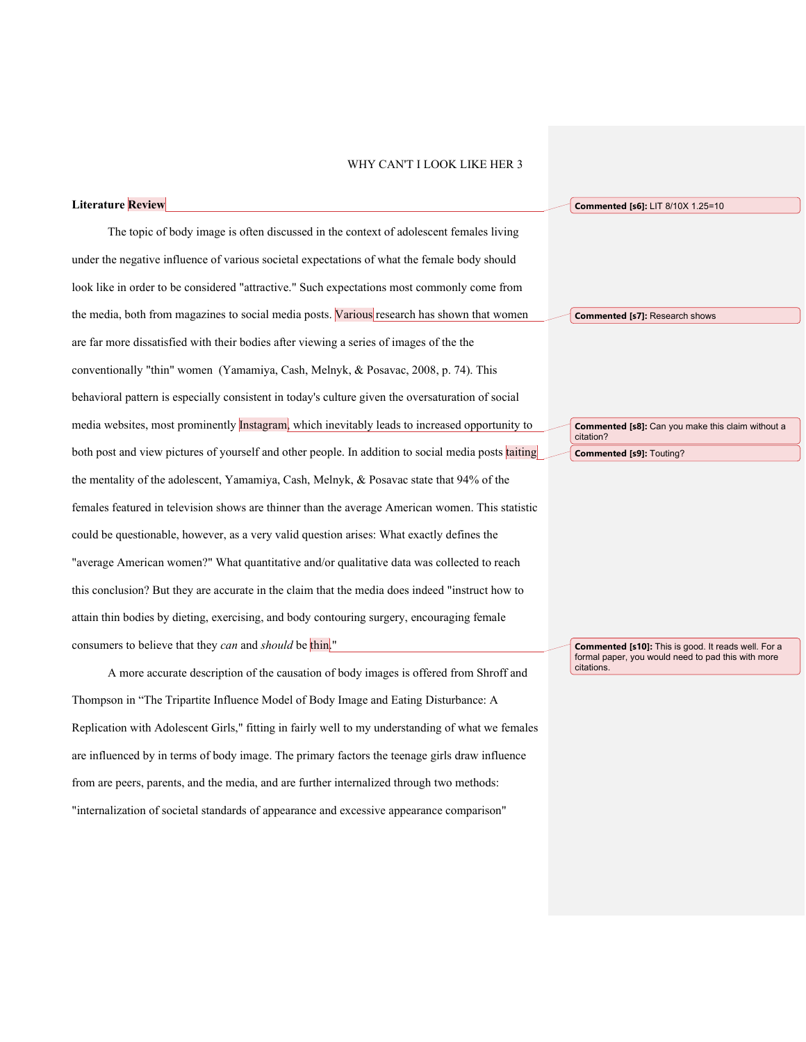**Literature Review** The topic of body image is often discussed in the context of adolescent females living under the negative influence of various societal expectations of what the female body should look like in order to be considered "attractive." Such expectations most commonly come from the media, both from magazines to social media posts. Various research has shown that women are far more dissatisfied with their bodies after viewing a series of images of the the conventionally "thin" women (Yamamiya, Cash, Melnyk, & Posavac, 2008, p. 74). This behavioral pattern is especially consistent in today's culture given the oversaturation of social media websites, most prominently Instagram, which inevitably leads to increased opportunity to both post and view pictures of yourself and other people. In addition to social media posts taiting the mentality of the adolescent, Yamamiya, Cash, Melnyk, & Posavac state that 94% of the females featured in television shows are thinner than the average American women. This statistic could be questionable, however, as a very valid question arises: What exactly defines the "average American women?" What quantitative and/or qualitative data was collected to reach this conclusion? But they are accurate in the claim that the media does indeed "instruct how to attain thin bodies by dieting, exercising, and body contouring surgery, encouraging female consumers to believe that they *can* and *should* be thin." **Commented [s6]:** LIT 8/10X 1.25=10

A more accurate description of the causation of body images is offered from Shroff and Thompson in "The Tripartite Influence Model of Body Image and Eating Disturbance: A Replication with Adolescent Girls," fitting in fairly well to my understanding of what we females are influenced by in terms of body image. The primary factors the teenage girls draw influence from are peers, parents, and the media, and are further internalized through two methods: "internalization of societal standards of appearance and excessive appearance comparison"

**Commented [s7]:** Research shows

**Commented [s8]:** Can you make this claim without a citation? **Commented [s9]:** Touting?

**Commented [s10]:** This is good. It reads well. For a formal paper, you would need to pad this with more citations.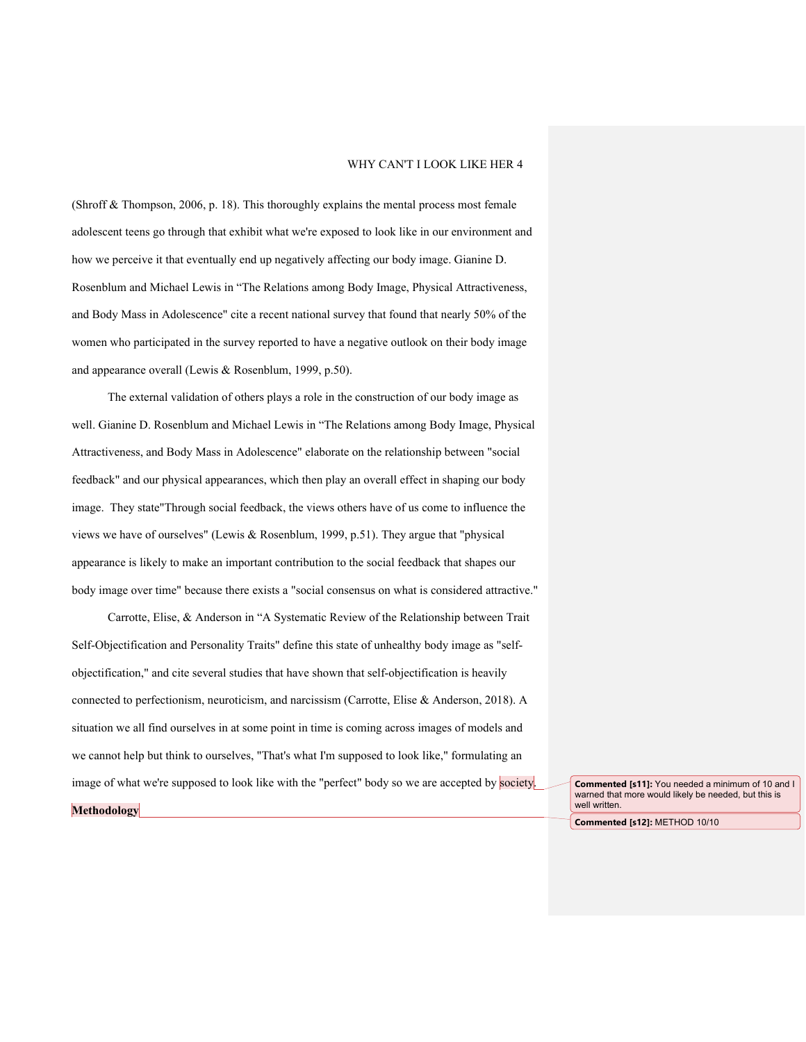(Shroff  $\&$  Thompson, 2006, p. 18). This thoroughly explains the mental process most female adolescent teens go through that exhibit what we're exposed to look like in our environment and how we perceive it that eventually end up negatively affecting our body image. Gianine D. Rosenblum and Michael Lewis in "The Relations among Body Image, Physical Attractiveness, and Body Mass in Adolescence" cite a recent national survey that found that nearly 50% of the women who participated in the survey reported to have a negative outlook on their body image and appearance overall (Lewis & Rosenblum, 1999, p.50).

The external validation of others plays a role in the construction of our body image as well. Gianine D. Rosenblum and Michael Lewis in "The Relations among Body Image, Physical Attractiveness, and Body Mass in Adolescence" elaborate on the relationship between "social feedback" and our physical appearances, which then play an overall effect in shaping our body image. They state"Through social feedback, the views others have of us come to influence the views we have of ourselves" (Lewis & Rosenblum, 1999, p.51). They argue that "physical appearance is likely to make an important contribution to the social feedback that shapes our body image over time" because there exists a "social consensus on what is considered attractive."

Carrotte, Elise, & Anderson in "A Systematic Review of the Relationship between Trait Self-Objectification and Personality Traits" define this state of unhealthy body image as "selfobjectification," and cite several studies that have shown that self-objectification is heavily connected to perfectionism, neuroticism, and narcissism (Carrotte, Elise & Anderson, 2018). A situation we all find ourselves in at some point in time is coming across images of models and we cannot help but think to ourselves, "That's what I'm supposed to look like," formulating an image of what we're supposed to look like with the "perfect" body so we are accepted by society.

**Commented [s11]:** You needed a minimum of 10 and I warned that more would likely be needed, but this is well written.

**Commented [s12]:** METHOD 10/10

**Methodology**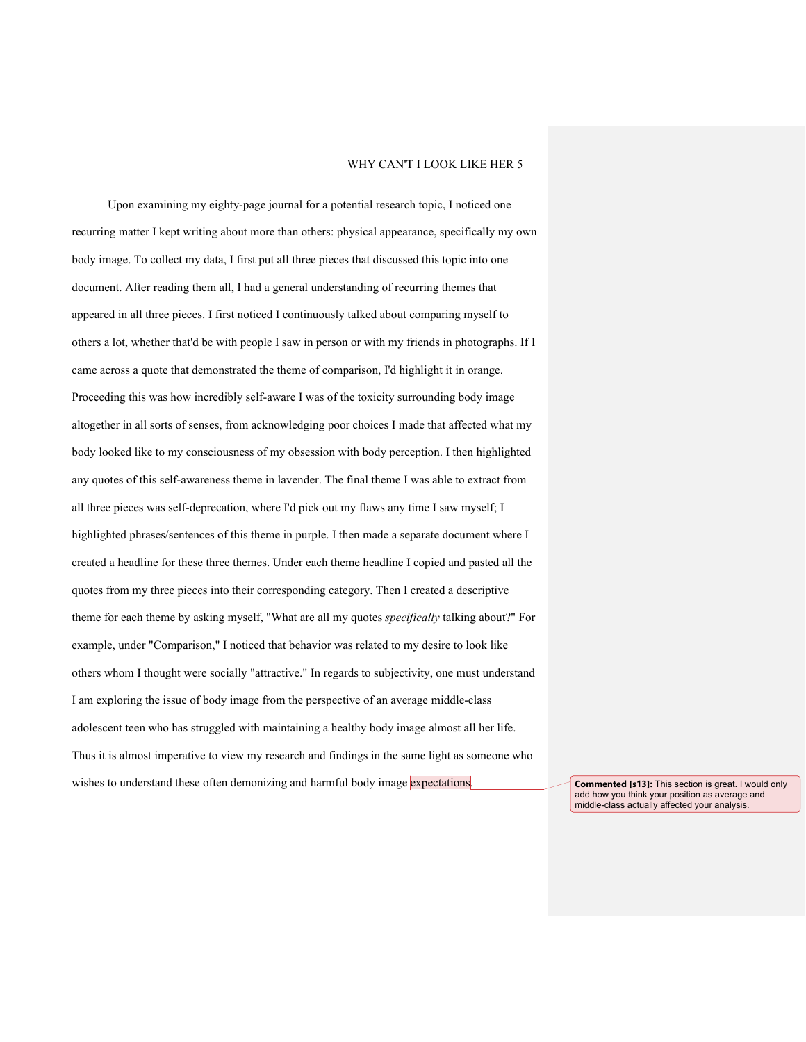Upon examining my eighty-page journal for a potential research topic, I noticed one recurring matter I kept writing about more than others: physical appearance, specifically my own body image. To collect my data, I first put all three pieces that discussed this topic into one document. After reading them all, I had a general understanding of recurring themes that appeared in all three pieces. I first noticed I continuously talked about comparing myself to others a lot, whether that'd be with people I saw in person or with my friends in photographs. If I came across a quote that demonstrated the theme of comparison, I'd highlight it in orange. Proceeding this was how incredibly self-aware I was of the toxicity surrounding body image altogether in all sorts of senses, from acknowledging poor choices I made that affected what my body looked like to my consciousness of my obsession with body perception. I then highlighted any quotes of this self-awareness theme in lavender. The final theme I was able to extract from all three pieces was self-deprecation, where I'd pick out my flaws any time I saw myself; I highlighted phrases/sentences of this theme in purple. I then made a separate document where I created a headline for these three themes. Under each theme headline I copied and pasted all the quotes from my three pieces into their corresponding category. Then I created a descriptive theme for each theme by asking myself, "What are all my quotes *specifically* talking about?" For example, under "Comparison," I noticed that behavior was related to my desire to look like others whom I thought were socially "attractive." In regards to subjectivity, one must understand I am exploring the issue of body image from the perspective of an average middle-class adolescent teen who has struggled with maintaining a healthy body image almost all her life. Thus it is almost imperative to view my research and findings in the same light as someone who wishes to understand these often demonizing and harmful body image expectations.<br> **Commented [s13]:** This section is great. I would only

add how you think your position as average and middle-class actually affected your analysis.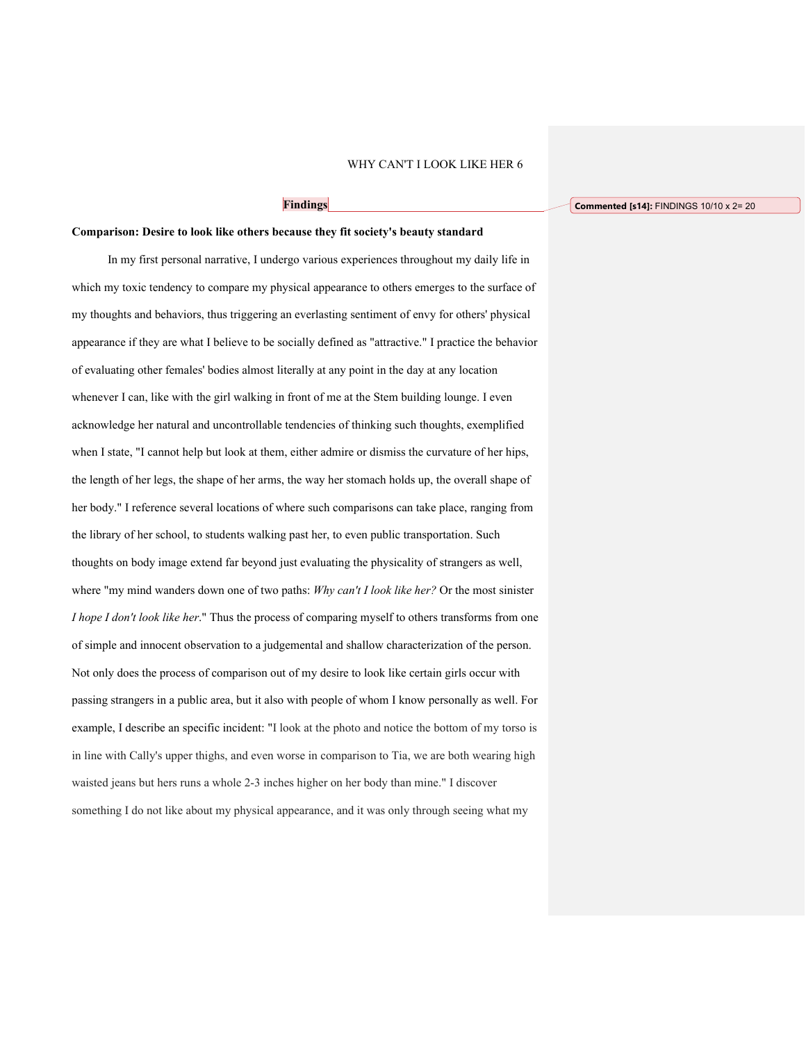## **Findings**

## **Comparison: Desire to look like others because they fit society's beauty standard**

In my first personal narrative, I undergo various experiences throughout my daily life in which my toxic tendency to compare my physical appearance to others emerges to the surface of my thoughts and behaviors, thus triggering an everlasting sentiment of envy for others' physical appearance if they are what I believe to be socially defined as "attractive." I practice the behavior of evaluating other females' bodies almost literally at any point in the day at any location whenever I can, like with the girl walking in front of me at the Stem building lounge. I even acknowledge her natural and uncontrollable tendencies of thinking such thoughts, exemplified when I state, "I cannot help but look at them, either admire or dismiss the curvature of her hips, the length of her legs, the shape of her arms, the way her stomach holds up, the overall shape of her body." I reference several locations of where such comparisons can take place, ranging from the library of her school, to students walking past her, to even public transportation. Such thoughts on body image extend far beyond just evaluating the physicality of strangers as well, where "my mind wanders down one of two paths: *Why can't I look like her?* Or the most sinister *I hope I don't look like her.*" Thus the process of comparing myself to others transforms from one of simple and innocent observation to a judgemental and shallow characterization of the person. Not only does the process of comparison out of my desire to look like certain girls occur with passing strangers in a public area, but it also with people of whom I know personally as well. For example, I describe an specific incident: "I look at the photo and notice the bottom of my torso is in line with Cally's upper thighs, and even worse in comparison to Tia, we are both wearing high waisted jeans but hers runs a whole 2-3 inches higher on her body than mine." I discover something I do not like about my physical appearance, and it was only through seeing what my

#### **Commented [s14]:** FINDINGS 10/10 x 2= 20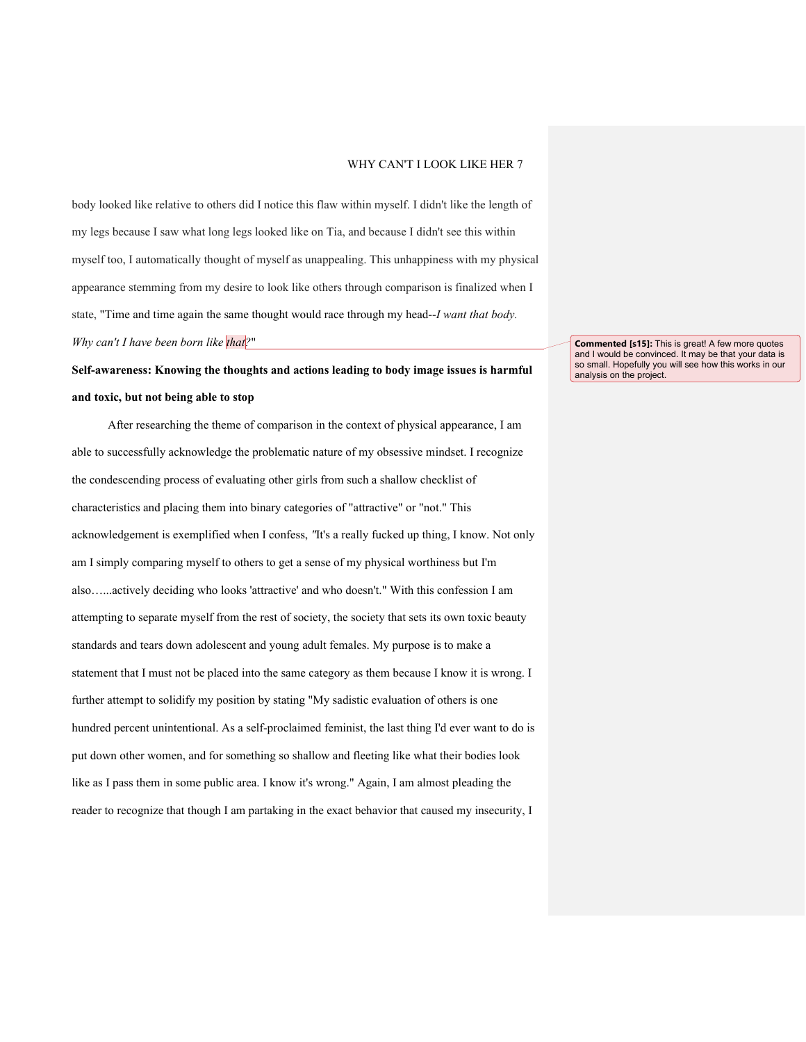body looked like relative to others did I notice this flaw within myself. I didn't like the length of my legs because I saw what long legs looked like on Tia, and because I didn't see this within myself too, I automatically thought of myself as unappealing. This unhappiness with my physical appearance stemming from my desire to look like others through comparison is finalized when I state, "Time and time again the same thought would race through my head--*I want that body. Why can't I have been born like that?*"

**Self-awareness: Knowing the thoughts and actions leading to body image issues is harmful and toxic, but not being able to stop**

After researching the theme of comparison in the context of physical appearance, I am able to successfully acknowledge the problematic nature of my obsessive mindset. I recognize the condescending process of evaluating other girls from such a shallow checklist of characteristics and placing them into binary categories of "attractive" or "not." This acknowledgement is exemplified when I confess, *"*It's a really fucked up thing, I know. Not only am I simply comparing myself to others to get a sense of my physical worthiness but I'm also…...actively deciding who looks 'attractive' and who doesn't." With this confession I am attempting to separate myself from the rest of society, the society that sets its own toxic beauty standards and tears down adolescent and young adult females. My purpose is to make a statement that I must not be placed into the same category as them because I know it is wrong. I further attempt to solidify my position by stating "My sadistic evaluation of others is one hundred percent unintentional. As a self-proclaimed feminist, the last thing I'd ever want to do is put down other women, and for something so shallow and fleeting like what their bodies look like as I pass them in some public area. I know it's wrong." Again, I am almost pleading the reader to recognize that though I am partaking in the exact behavior that caused my insecurity, I

**Commented [s15]:** This is great! A few more quotes and I would be convinced. It may be that your data is so small. Hopefully you will see how this works in our analysis on the project.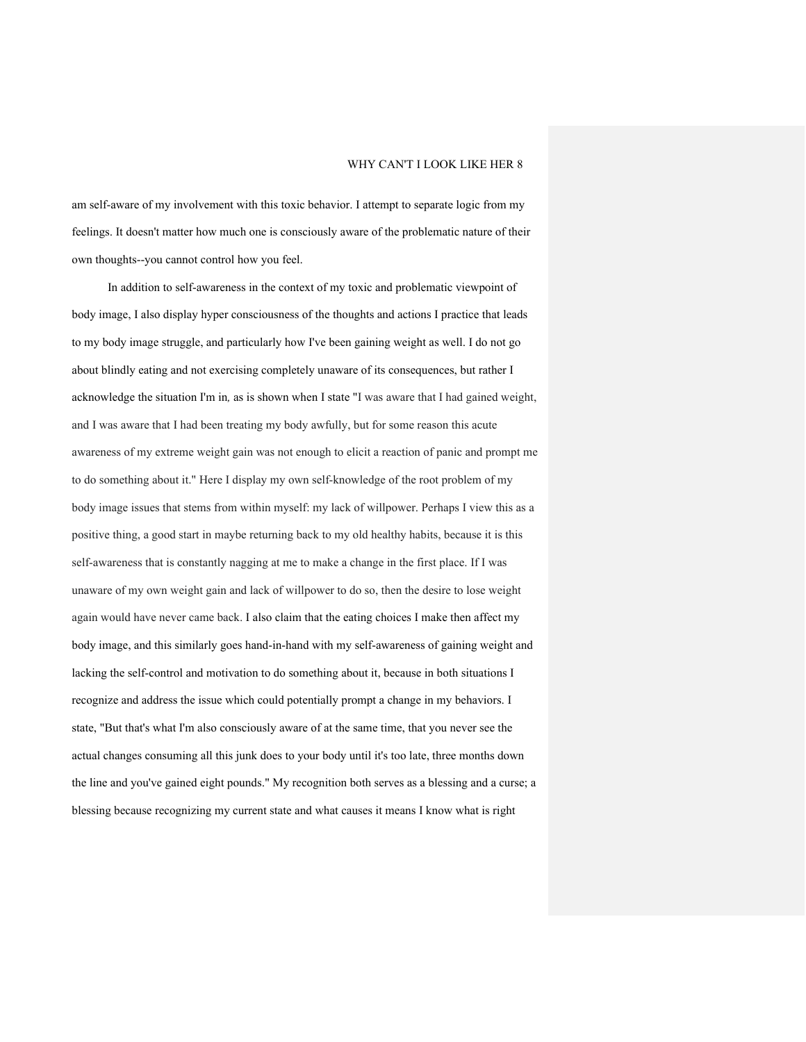am self-aware of my involvement with this toxic behavior. I attempt to separate logic from my feelings. It doesn't matter how much one is consciously aware of the problematic nature of their own thoughts--you cannot control how you feel.

In addition to self-awareness in the context of my toxic and problematic viewpoint of body image, I also display hyper consciousness of the thoughts and actions I practice that leads to my body image struggle, and particularly how I've been gaining weight as well. I do not go about blindly eating and not exercising completely unaware of its consequences, but rather I acknowledge the situation I'm in*,* as is shown when I state "I was aware that I had gained weight, and I was aware that I had been treating my body awfully, but for some reason this acute awareness of my extreme weight gain was not enough to elicit a reaction of panic and prompt me to do something about it." Here I display my own self-knowledge of the root problem of my body image issues that stems from within myself: my lack of willpower. Perhaps I view this as a positive thing, a good start in maybe returning back to my old healthy habits, because it is this self-awareness that is constantly nagging at me to make a change in the first place. If I was unaware of my own weight gain and lack of willpower to do so, then the desire to lose weight again would have never came back. I also claim that the eating choices I make then affect my body image, and this similarly goes hand-in-hand with my self-awareness of gaining weight and lacking the self-control and motivation to do something about it, because in both situations I recognize and address the issue which could potentially prompt a change in my behaviors. I state, "But that's what I'm also consciously aware of at the same time, that you never see the actual changes consuming all this junk does to your body until it's too late, three months down the line and you've gained eight pounds." My recognition both serves as a blessing and a curse; a blessing because recognizing my current state and what causes it means I know what is right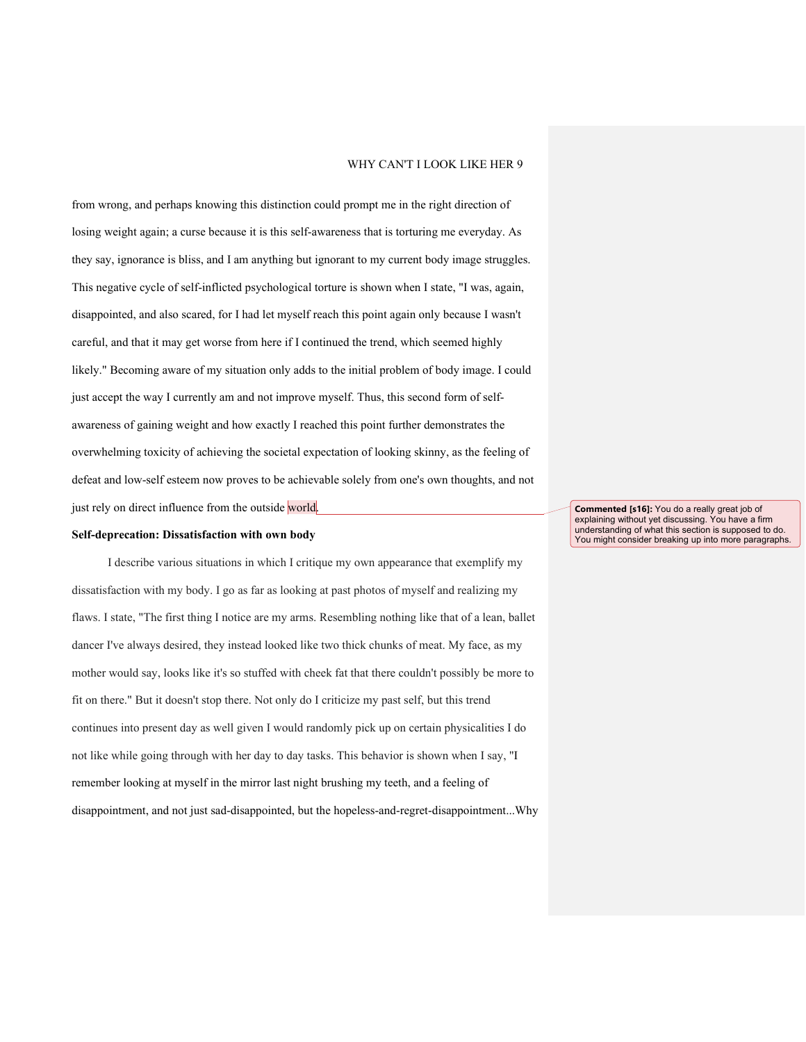from wrong, and perhaps knowing this distinction could prompt me in the right direction of losing weight again; a curse because it is this self-awareness that is torturing me everyday. As they say, ignorance is bliss, and I am anything but ignorant to my current body image struggles. This negative cycle of self-inflicted psychological torture is shown when I state, "I was, again, disappointed, and also scared, for I had let myself reach this point again only because I wasn't careful, and that it may get worse from here if I continued the trend, which seemed highly likely." Becoming aware of my situation only adds to the initial problem of body image. I could just accept the way I currently am and not improve myself. Thus, this second form of selfawareness of gaining weight and how exactly I reached this point further demonstrates the overwhelming toxicity of achieving the societal expectation of looking skinny, as the feeling of defeat and low-self esteem now proves to be achievable solely from one's own thoughts, and not just rely on direct influence from the outside world.

#### **Self-deprecation: Dissatisfaction with own body**

I describe various situations in which I critique my own appearance that exemplify my dissatisfaction with my body. I go as far as looking at past photos of myself and realizing my flaws. I state, "The first thing I notice are my arms. Resembling nothing like that of a lean, ballet dancer I've always desired, they instead looked like two thick chunks of meat. My face, as my mother would say, looks like it's so stuffed with cheek fat that there couldn't possibly be more to fit on there." But it doesn't stop there. Not only do I criticize my past self, but this trend continues into present day as well given I would randomly pick up on certain physicalities I do not like while going through with her day to day tasks. This behavior is shown when I say, "I remember looking at myself in the mirror last night brushing my teeth, and a feeling of disappointment, and not just sad-disappointed, but the hopeless-and-regret-disappointment...Why **Commented [s16]:** You do a really great job of explaining without yet discussing. You have a firm understanding of what this section is supposed to do. You might consider breaking up into more paragraphs.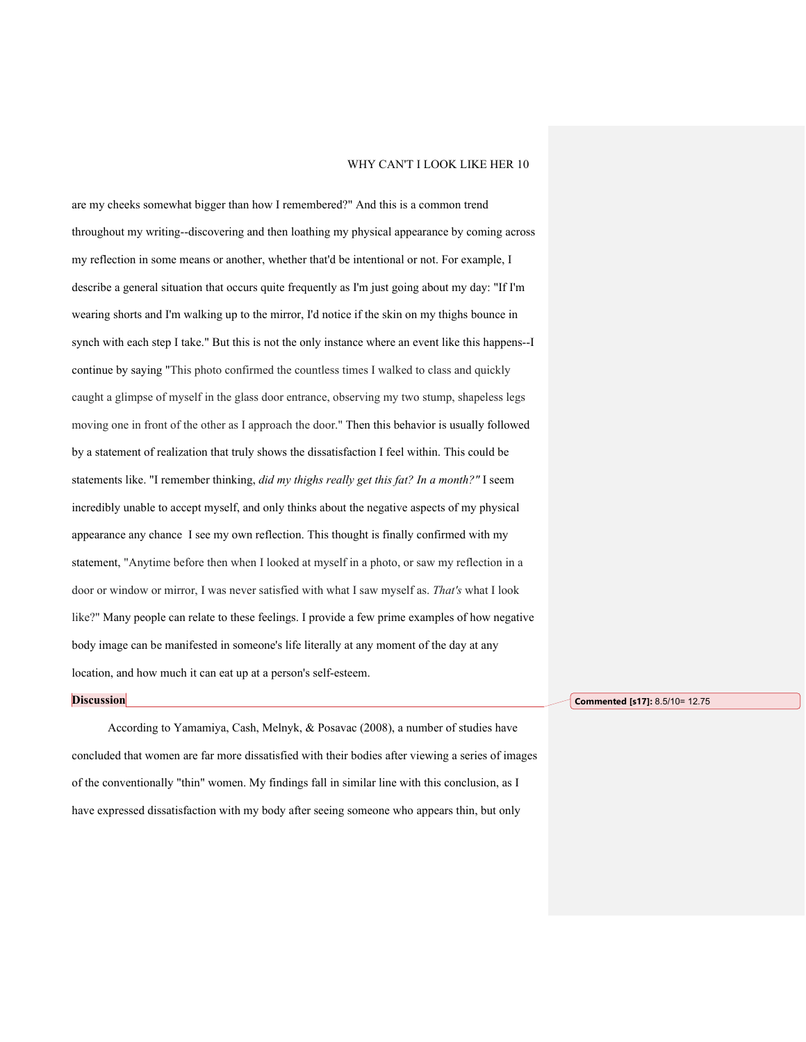are my cheeks somewhat bigger than how I remembered?" And this is a common trend throughout my writing--discovering and then loathing my physical appearance by coming across my reflection in some means or another, whether that'd be intentional or not. For example, I describe a general situation that occurs quite frequently as I'm just going about my day: "If I'm wearing shorts and I'm walking up to the mirror, I'd notice if the skin on my thighs bounce in synch with each step I take." But this is not the only instance where an event like this happens--I continue by saying "This photo confirmed the countless times I walked to class and quickly caught a glimpse of myself in the glass door entrance, observing my two stump, shapeless legs moving one in front of the other as I approach the door." Then this behavior is usually followed by a statement of realization that truly shows the dissatisfaction I feel within. This could be statements like. "I remember thinking, *did my thighs really get this fat? In a month?"* I seem incredibly unable to accept myself, and only thinks about the negative aspects of my physical appearance any chance I see my own reflection. This thought is finally confirmed with my statement, "Anytime before then when I looked at myself in a photo, or saw my reflection in a door or window or mirror, I was never satisfied with what I saw myself as. *That's* what I look like?" Many people can relate to these feelings. I provide a few prime examples of how negative body image can be manifested in someone's life literally at any moment of the day at any location, and how much it can eat up at a person's self-esteem.

#### **Discussion**

According to Yamamiya, Cash, Melnyk, & Posavac (2008), a number of studies have concluded that women are far more dissatisfied with their bodies after viewing a series of images of the conventionally "thin" women. My findings fall in similar line with this conclusion, as I have expressed dissatisfaction with my body after seeing someone who appears thin, but only

**Commented [s17]:** 8.5/10= 12.75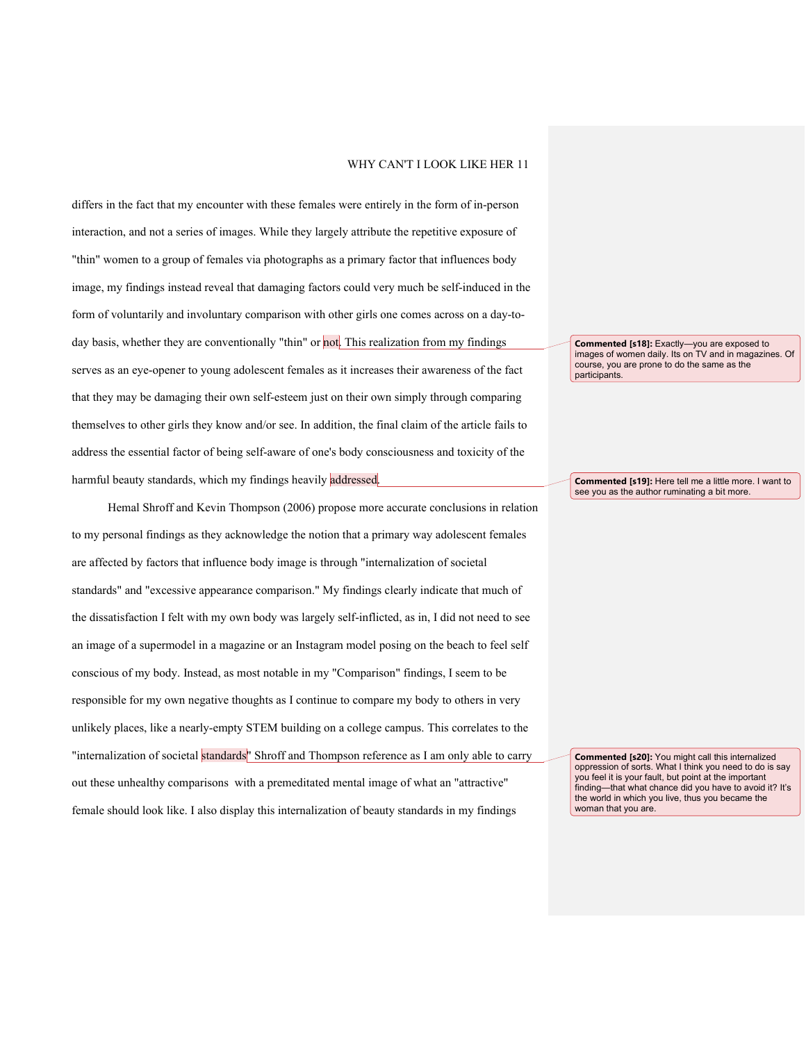differs in the fact that my encounter with these females were entirely in the form of in-person interaction, and not a series of images. While they largely attribute the repetitive exposure of "thin" women to a group of females via photographs as a primary factor that influences body image, my findings instead reveal that damaging factors could very much be self-induced in the form of voluntarily and involuntary comparison with other girls one comes across on a day-today basis, whether they are conventionally "thin" or not. This realization from my findings serves as an eye-opener to young adolescent females as it increases their awareness of the fact that they may be damaging their own self-esteem just on their own simply through comparing themselves to other girls they know and/or see. In addition, the final claim of the article fails to address the essential factor of being self-aware of one's body consciousness and toxicity of the harmful beauty standards, which my findings heavily addressed.

Hemal Shroff and Kevin Thompson (2006) propose more accurate conclusions in relation to my personal findings as they acknowledge the notion that a primary way adolescent females are affected by factors that influence body image is through "internalization of societal standards" and "excessive appearance comparison." My findings clearly indicate that much of the dissatisfaction I felt with my own body was largely self-inflicted, as in, I did not need to see an image of a supermodel in a magazine or an Instagram model posing on the beach to feel self conscious of my body. Instead, as most notable in my "Comparison" findings, I seem to be responsible for my own negative thoughts as I continue to compare my body to others in very unlikely places, like a nearly-empty STEM building on a college campus. This correlates to the "internalization of societal standards" Shroff and Thompson reference as I am only able to carry out these unhealthy comparisons with a premeditated mental image of what an "attractive" female should look like. I also display this internalization of beauty standards in my findings

**Commented [s18]:** Exactly—you are exposed to images of women daily. Its on TV and in magazines. Of course, you are prone to do the same as the participants.

**Commented [s19]:** Here tell me a little more. I want to see you as the author ruminating a bit more.

**Commented [s20]:** You might call this internalized oppression of sorts. What I think you need to do is say you feel it is your fault, but point at the important finding—that what chance did you have to avoid it? It's the world in which you live, thus you became the woman that you are.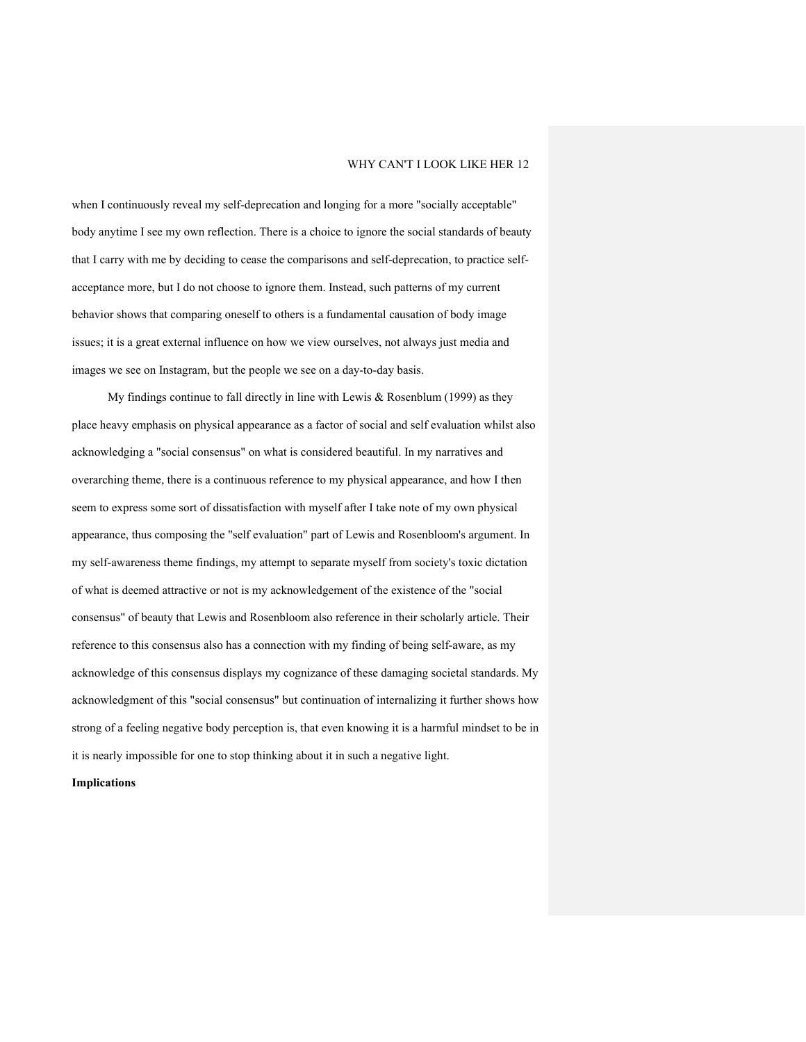when I continuously reveal my self-deprecation and longing for a more "socially acceptable" body anytime I see my own reflection. There is a choice to ignore the social standards of beauty that I carry with me by deciding to cease the comparisons and self-deprecation, to practice selfacceptance more, but I do not choose to ignore them. Instead, such patterns of my current behavior shows that comparing oneself to others is a fundamental causation of body image issues; it is a great external influence on how we view ourselves, not always just media and images we see on Instagram, but the people we see on a day-to-day basis.

My findings continue to fall directly in line with Lewis & Rosenblum (1999) as they place heavy emphasis on physical appearance as a factor of social and self evaluation whilst also acknowledging a "social consensus" on what is considered beautiful. In my narratives and overarching theme, there is a continuous reference to my physical appearance, and how I then seem to express some sort of dissatisfaction with myself after I take note of my own physical appearance, thus composing the "self evaluation" part of Lewis and Rosenbloom's argument. In my self-awareness theme findings, my attempt to separate myself from society's toxic dictation of what is deemed attractive or not is my acknowledgement of the existence of the "social consensus" of beauty that Lewis and Rosenbloom also reference in their scholarly article. Their reference to this consensus also has a connection with my finding of being self-aware, as my acknowledge of this consensus displays my cognizance of these damaging societal standards. My acknowledgment of this "social consensus" but continuation of internalizing it further shows how strong of a feeling negative body perception is, that even knowing it is a harmful mindset to be in it is nearly impossible for one to stop thinking about it in such a negative light.

**Implications**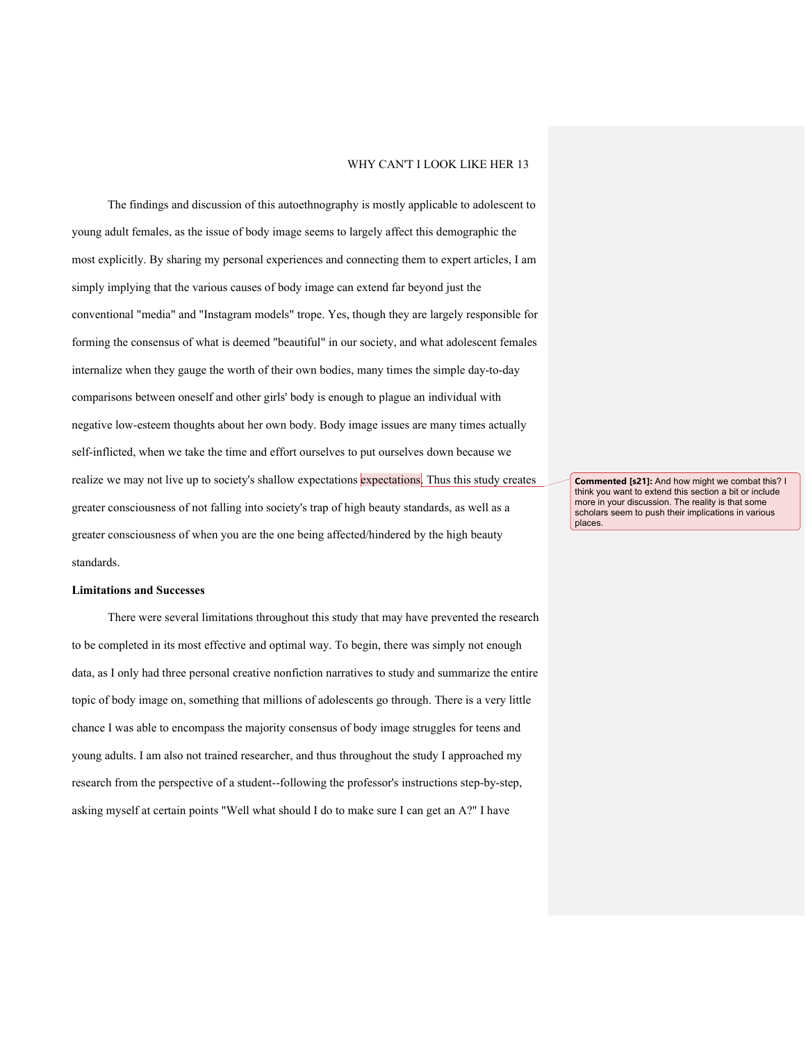The findings and discussion of this autoethnography is mostly applicable to adolescent to young adult females, as the issue of body image seems to largely affect this demographic the most explicitly. By sharing my personal experiences and connecting them to expert articles, I am simply implying that the various causes of body image can extend far beyond just the conventional "media" and "Instagram models" trope. Yes, though they are largely responsible for forming the consensus of what is deemed "beautiful" in our society, and what adolescent females internalize when they gauge the worth of their own bodies, many times the simple day-to-day comparisons between oneself and other girls' body is enough to plague an individual with negative low-esteem thoughts about her own body. Body image issues are many times actually self-inflicted, when we take the time and effort ourselves to put ourselves down because we realize we may not live up to society's shallow expectations expectations. Thus this study creates greater consciousness of not falling into society's trap of high beauty standards, as well as a greater consciousness of when you are the one being affected/hindered by the high beauty standards.

#### **Limitations and Successes**

There were several limitations throughout this study that may have prevented the research to be completed in its most effective and optimal way. To begin, there was simply not enough data, as I only had three personal creative nonfiction narratives to study and summarize the entire topic of body image on, something that millions of adolescents go through. There is a very little chance I was able to encompass the majority consensus of body image struggles for teens and young adults. I am also not trained researcher, and thus throughout the study I approached my research from the perspective of a student--following the professor's instructions step-by-step, asking myself at certain points "Well what should I do to make sure I can get an A?" I have

**Commented [s21]:** And how might we combat this? I think you want to extend this section a bit or include more in your discussion. The reality is that some scholars seem to push their implications in various places.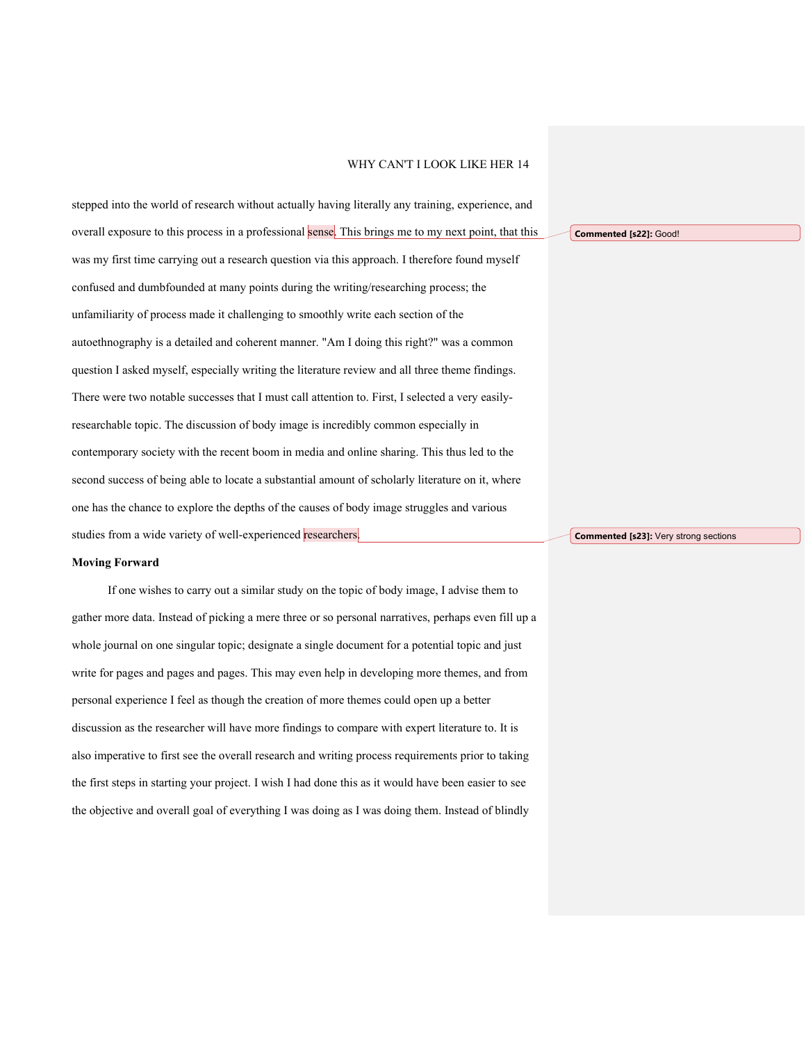stepped into the world of research without actually having literally any training, experience, and overall exposure to this process in a professional sense. This brings me to my next point, that this was my first time carrying out a research question via this approach. I therefore found myself confused and dumbfounded at many points during the writing/researching process; the unfamiliarity of process made it challenging to smoothly write each section of the autoethnography is a detailed and coherent manner. "Am I doing this right?" was a common question I asked myself, especially writing the literature review and all three theme findings. There were two notable successes that I must call attention to. First, I selected a very easilyresearchable topic. The discussion of body image is incredibly common especially in contemporary society with the recent boom in media and online sharing. This thus led to the second success of being able to locate a substantial amount of scholarly literature on it, where one has the chance to explore the depths of the causes of body image struggles and various studies from a wide variety of well-experienced researchers.

#### **Moving Forward**

If one wishes to carry out a similar study on the topic of body image, I advise them to gather more data. Instead of picking a mere three or so personal narratives, perhaps even fill up a whole journal on one singular topic; designate a single document for a potential topic and just write for pages and pages and pages. This may even help in developing more themes, and from personal experience I feel as though the creation of more themes could open up a better discussion as the researcher will have more findings to compare with expert literature to. It is also imperative to first see the overall research and writing process requirements prior to taking the first steps in starting your project. I wish I had done this as it would have been easier to see the objective and overall goal of everything I was doing as I was doing them. Instead of blindly

**Commented [s22]:** Good!

**Commented [s23]:** Very strong sections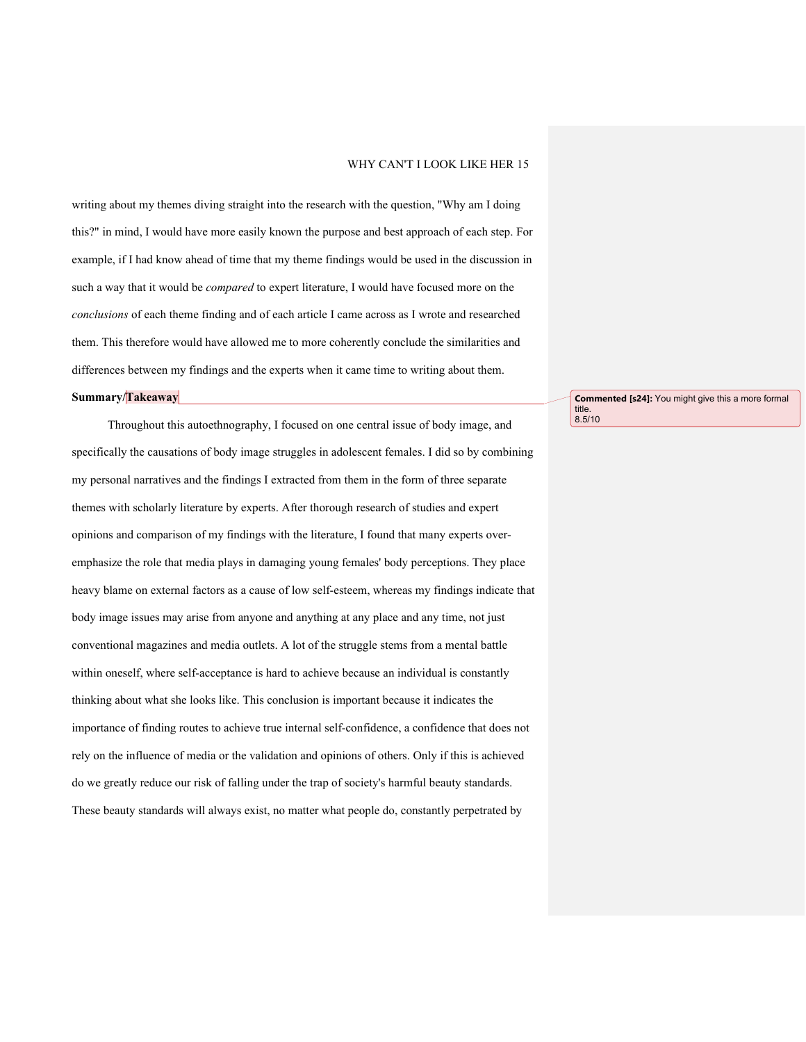writing about my themes diving straight into the research with the question, "Why am I doing this?" in mind, I would have more easily known the purpose and best approach of each step. For example, if I had know ahead of time that my theme findings would be used in the discussion in such a way that it would be *compared* to expert literature, I would have focused more on the *conclusions* of each theme finding and of each article I came across as I wrote and researched them. This therefore would have allowed me to more coherently conclude the similarities and differences between my findings and the experts when it came time to writing about them.

## **Summary/Takeaway**

Throughout this autoethnography, I focused on one central issue of body image, and specifically the causations of body image struggles in adolescent females. I did so by combining my personal narratives and the findings I extracted from them in the form of three separate themes with scholarly literature by experts. After thorough research of studies and expert opinions and comparison of my findings with the literature, I found that many experts overemphasize the role that media plays in damaging young females' body perceptions. They place heavy blame on external factors as a cause of low self-esteem, whereas my findings indicate that body image issues may arise from anyone and anything at any place and any time, not just conventional magazines and media outlets. A lot of the struggle stems from a mental battle within oneself, where self-acceptance is hard to achieve because an individual is constantly thinking about what she looks like. This conclusion is important because it indicates the importance of finding routes to achieve true internal self-confidence, a confidence that does not rely on the influence of media or the validation and opinions of others. Only if this is achieved do we greatly reduce our risk of falling under the trap of society's harmful beauty standards. These beauty standards will always exist, no matter what people do, constantly perpetrated by

**Commented [s24]:** You might give this a more formal title. 8.5/10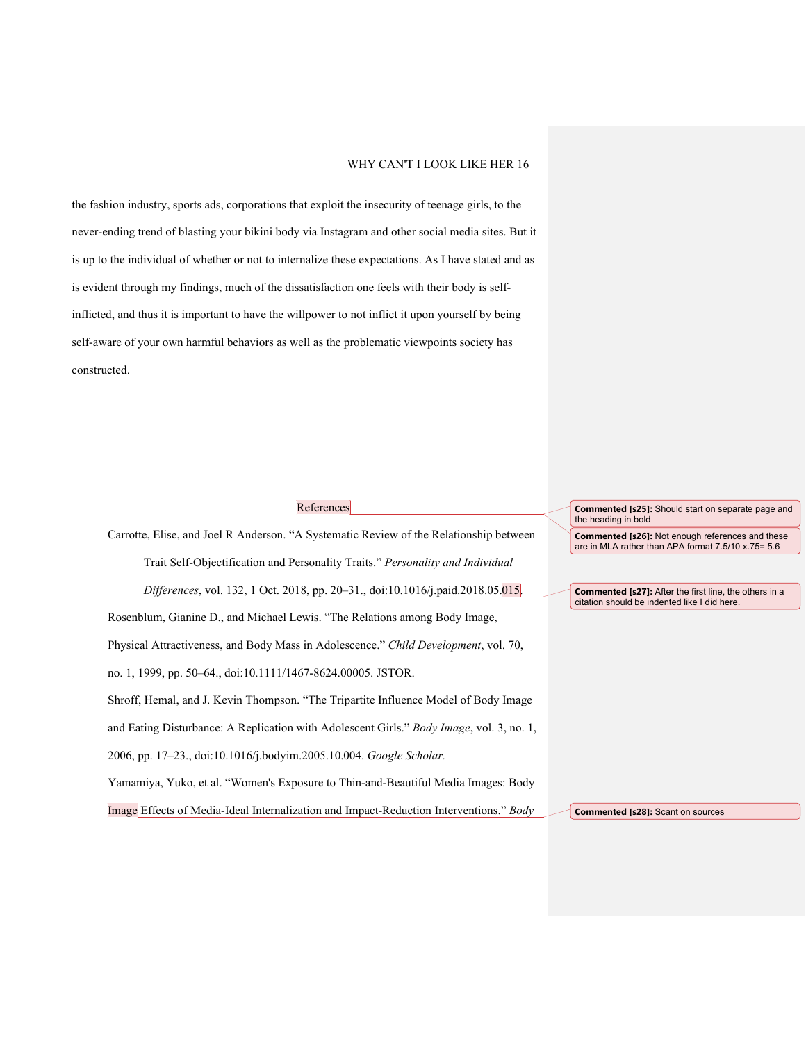the fashion industry, sports ads, corporations that exploit the insecurity of teenage girls, to the never-ending trend of blasting your bikini body via Instagram and other social media sites. But it is up to the individual of whether or not to internalize these expectations. As I have stated and as is evident through my findings, much of the dissatisfaction one feels with their body is selfinflicted, and thus it is important to have the willpower to not inflict it upon yourself by being self-aware of your own harmful behaviors as well as the problematic viewpoints society has constructed.

| References                                                                                       | <b>Commented [s25]:</b> Should start on separate page and<br>the heading in bold                              |
|--------------------------------------------------------------------------------------------------|---------------------------------------------------------------------------------------------------------------|
| Carrotte, Elise, and Joel R Anderson. "A Systematic Review of the Relationship between           | <b>Commented [s26]:</b> Not enough references and these<br>are in MLA rather than APA format 7.5/10 x.75= 5.6 |
| Trait Self-Objectification and Personality Traits." Personality and Individual                   |                                                                                                               |
| Differences, vol. 132, 1 Oct. 2018, pp. 20–31., doi:10.1016/j.paid.2018.05.015.                  | <b>Commented [s27]:</b> After the first line, the others in a<br>citation should be indented like I did here. |
| Rosenblum, Gianine D., and Michael Lewis. "The Relations among Body Image,                       |                                                                                                               |
| Physical Attractiveness, and Body Mass in Adolescence." Child Development, vol. 70,              |                                                                                                               |
| no. 1, 1999, pp. 50–64., doi:10.1111/1467-8624.00005. JSTOR.                                     |                                                                                                               |
| Shroff, Hemal, and J. Kevin Thompson. "The Tripartite Influence Model of Body Image              |                                                                                                               |
| and Eating Disturbance: A Replication with Adolescent Girls." <i>Body Image</i> , vol. 3, no. 1, |                                                                                                               |
| 2006, pp. 17-23., doi:10.1016/j.bodyim.2005.10.004. Google Scholar.                              |                                                                                                               |
| Yamamiya, Yuko, et al. "Women's Exposure to Thin-and-Beautiful Media Images: Body                |                                                                                                               |
| Image Effects of Media-Ideal Internalization and Impact-Reduction Interventions." Body           | <b>Commented [s28]:</b> Scant on sources                                                                      |